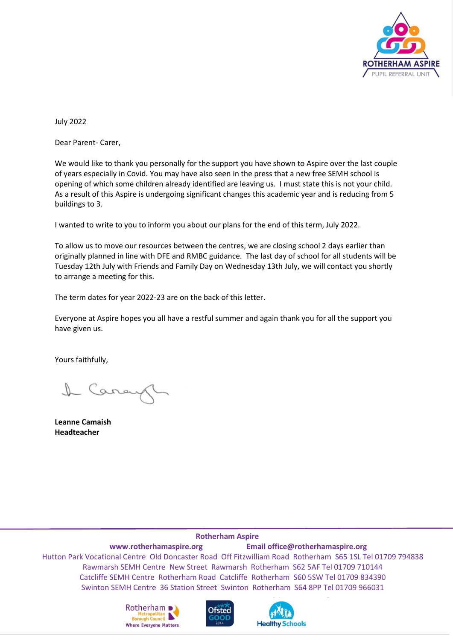

July 2022

Dear Parent- Carer,

We would like to thank you personally for the support you have shown to Aspire over the last couple of years especially in Covid. You may have also seen in the press that a new free SEMH school is opening of which some children already identified are leaving us. I must state this is not your child. As a result of this Aspire is undergoing significant changes this academic year and is reducing from 5 buildings to 3.

I wanted to write to you to inform you about our plans for the end of this term, July 2022.

To allow us to move our resources between the centres, we are closing school 2 days earlier than originally planned in line with DFE and RMBC guidance. The last day of school for all students will be Tuesday 12th July with Friends and Family Day on Wednesday 13th July, we will contact you shortly to arrange a meeting for this.

The term dates for year 2022-23 are on the back of this letter.

Everyone at Aspire hopes you all have a restful summer and again thank you for all the support you have given us.

Yours faithfully,

I Carey

**Leanne Camaish Headteacher**

## **Rotherham Aspire**

**www**.**[rotherhamaspire.](http://www.rotherhamaspire/)org Email office@rotherhamaspire.org** Hutton Park Vocational Centre Old Doncaster Road Off Fitzwilliam Road Rotherham S65 1SL Tel 01709 794838 Rawmarsh SEMH Centre New Street Rawmarsh Rotherham S62 5AF Tel 01709 710144 Catcliffe SEMH Centre Rotherham Road Catcliffe Rotherham S60 5SW Tel 01709 834390 Swinton SEMH Centre 36 Station Street Swinton Rotherham S64 8PP Tel 01709 966031

**Healthy Schools**